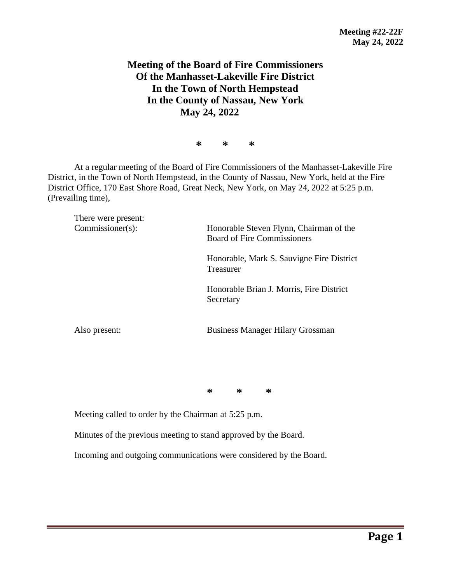## **Meeting of the Board of Fire Commissioners Of the Manhasset-Lakeville Fire District In the Town of North Hempstead In the County of Nassau, New York May 24, 2022**

**\* \* \***

At a regular meeting of the Board of Fire Commissioners of the Manhasset-Lakeville Fire District, in the Town of North Hempstead, in the County of Nassau, New York, held at the Fire District Office, 170 East Shore Road, Great Neck, New York, on May 24, 2022 at 5:25 p.m. (Prevailing time),

There were present: Commissioner(s): Honorable Steven Flynn, Chairman of the Board of Fire Commissioners Honorable, Mark S. Sauvigne Fire District Treasurer Honorable Brian J. Morris, Fire District Secretary Also present: Business Manager Hilary Grossman

**\* \* \***

Meeting called to order by the Chairman at 5:25 p.m.

Minutes of the previous meeting to stand approved by the Board.

Incoming and outgoing communications were considered by the Board.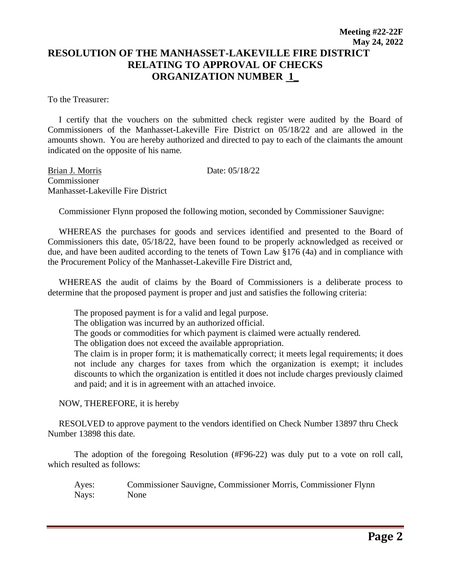## **Meeting #22-22F May 24, 2022 RESOLUTION OF THE MANHASSET-LAKEVILLE FIRE DISTRICT RELATING TO APPROVAL OF CHECKS ORGANIZATION NUMBER 1\_**

To the Treasurer:

 I certify that the vouchers on the submitted check register were audited by the Board of Commissioners of the Manhasset-Lakeville Fire District on 05/18/22 and are allowed in the amounts shown. You are hereby authorized and directed to pay to each of the claimants the amount indicated on the opposite of his name.

Brian J. Morris Date: 05/18/22 Commissioner Manhasset-Lakeville Fire District

Commissioner Flynn proposed the following motion, seconded by Commissioner Sauvigne:

 WHEREAS the purchases for goods and services identified and presented to the Board of Commissioners this date, 05/18/22, have been found to be properly acknowledged as received or due, and have been audited according to the tenets of Town Law §176 (4a) and in compliance with the Procurement Policy of the Manhasset-Lakeville Fire District and,

 WHEREAS the audit of claims by the Board of Commissioners is a deliberate process to determine that the proposed payment is proper and just and satisfies the following criteria:

The proposed payment is for a valid and legal purpose.

The obligation was incurred by an authorized official.

The goods or commodities for which payment is claimed were actually rendered.

The obligation does not exceed the available appropriation.

The claim is in proper form; it is mathematically correct; it meets legal requirements; it does not include any charges for taxes from which the organization is exempt; it includes discounts to which the organization is entitled it does not include charges previously claimed and paid; and it is in agreement with an attached invoice.

NOW, THEREFORE, it is hereby

 RESOLVED to approve payment to the vendors identified on Check Number 13897 thru Check Number 13898 this date.

The adoption of the foregoing Resolution (#F96-22) was duly put to a vote on roll call, which resulted as follows:

Ayes: Commissioner Sauvigne, Commissioner Morris, Commissioner Flynn Nays: None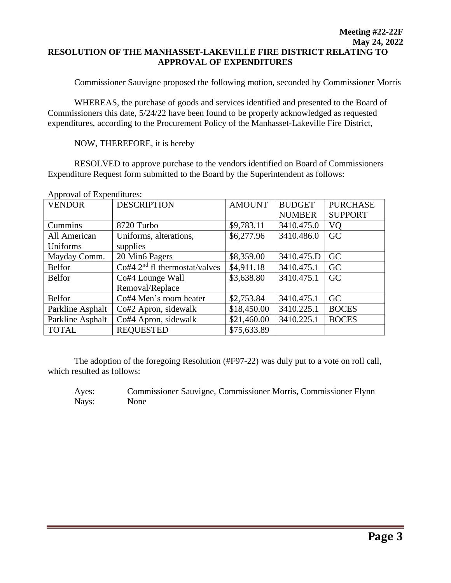## **Meeting #22-22F May 24, 2022 RESOLUTION OF THE MANHASSET-LAKEVILLE FIRE DISTRICT RELATING TO APPROVAL OF EXPENDITURES**

Commissioner Sauvigne proposed the following motion, seconded by Commissioner Morris

WHEREAS, the purchase of goods and services identified and presented to the Board of Commissioners this date, 5/24/22 have been found to be properly acknowledged as requested expenditures, according to the Procurement Policy of the Manhasset-Lakeville Fire District,

NOW, THEREFORE, it is hereby

RESOLVED to approve purchase to the vendors identified on Board of Commissioners Expenditure Request form submitted to the Board by the Superintendent as follows:

| $1$ reproval of Experiences. |                                 |               |               |                 |
|------------------------------|---------------------------------|---------------|---------------|-----------------|
| <b>VENDOR</b>                | <b>DESCRIPTION</b>              | <b>AMOUNT</b> | <b>BUDGET</b> | <b>PURCHASE</b> |
|                              |                                 |               | <b>NUMBER</b> | <b>SUPPORT</b>  |
| Cummins                      | 8720 Turbo                      | \$9,783.11    | 3410.475.0    | V <sub>O</sub>  |
| All American                 | Uniforms, alterations,          | \$6,277.96    | 3410.486.0    | GC              |
| Uniforms                     | supplies                        |               |               |                 |
| Mayday Comm.                 | 20 Min6 Pagers                  | \$8,359.00    | 3410.475.D    | GC              |
| <b>Belfor</b>                | Co#4 $2nd$ fl thermostat/valves | \$4,911.18    | 3410.475.1    | GC              |
| <b>Belfor</b>                | Co#4 Lounge Wall                | \$3,638.80    | 3410.475.1    | GC              |
|                              | Removal/Replace                 |               |               |                 |
| <b>Belfor</b>                | Co#4 Men's room heater          | \$2,753.84    | 3410.475.1    | GC              |
| Parkline Asphalt             | Co#2 Apron, sidewalk            | \$18,450.00   | 3410.225.1    | <b>BOCES</b>    |
| Parkline Asphalt             | Co#4 Apron, sidewalk            | \$21,460.00   | 3410.225.1    | <b>BOCES</b>    |
| <b>TOTAL</b>                 | <b>REQUESTED</b>                | \$75,633.89   |               |                 |

Approval of Expenditures:

The adoption of the foregoing Resolution (#F97-22) was duly put to a vote on roll call, which resulted as follows:

Ayes: Commissioner Sauvigne, Commissioner Morris, Commissioner Flynn Nays: None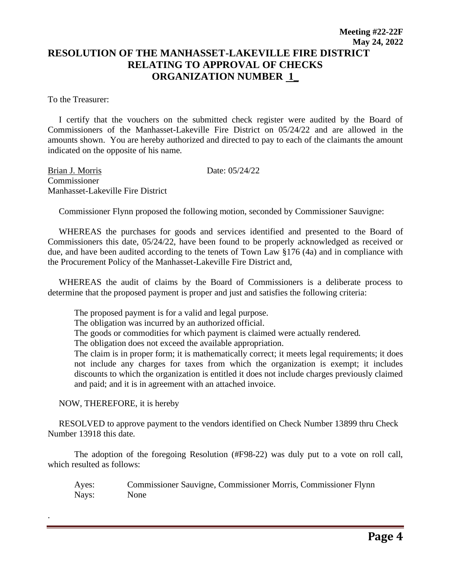## **Meeting #22-22F May 24, 2022 RESOLUTION OF THE MANHASSET-LAKEVILLE FIRE DISTRICT RELATING TO APPROVAL OF CHECKS ORGANIZATION NUMBER 1\_**

To the Treasurer:

 I certify that the vouchers on the submitted check register were audited by the Board of Commissioners of the Manhasset-Lakeville Fire District on 05/24/22 and are allowed in the amounts shown. You are hereby authorized and directed to pay to each of the claimants the amount indicated on the opposite of his name.

Brian J. Morris Date: 05/24/22 Commissioner Manhasset-Lakeville Fire District

Commissioner Flynn proposed the following motion, seconded by Commissioner Sauvigne:

 WHEREAS the purchases for goods and services identified and presented to the Board of Commissioners this date, 05/24/22, have been found to be properly acknowledged as received or due, and have been audited according to the tenets of Town Law §176 (4a) and in compliance with the Procurement Policy of the Manhasset-Lakeville Fire District and,

 WHEREAS the audit of claims by the Board of Commissioners is a deliberate process to determine that the proposed payment is proper and just and satisfies the following criteria:

The proposed payment is for a valid and legal purpose.

The obligation was incurred by an authorized official.

The goods or commodities for which payment is claimed were actually rendered.

The obligation does not exceed the available appropriation.

The claim is in proper form; it is mathematically correct; it meets legal requirements; it does not include any charges for taxes from which the organization is exempt; it includes discounts to which the organization is entitled it does not include charges previously claimed and paid; and it is in agreement with an attached invoice.

NOW, THEREFORE, it is hereby

.

 RESOLVED to approve payment to the vendors identified on Check Number 13899 thru Check Number 13918 this date.

The adoption of the foregoing Resolution (#F98-22) was duly put to a vote on roll call, which resulted as follows:

Ayes: Commissioner Sauvigne, Commissioner Morris, Commissioner Flynn Nays: None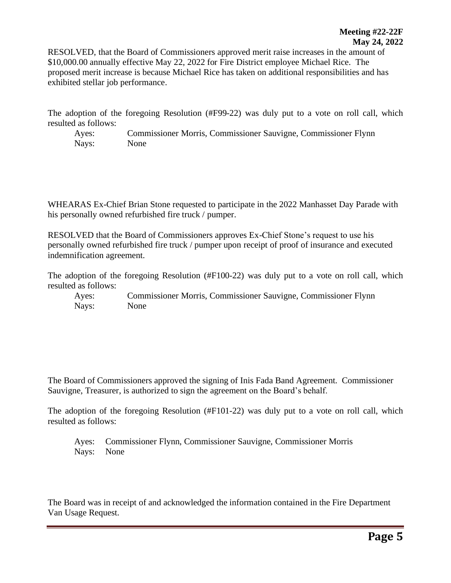RESOLVED, that the Board of Commissioners approved merit raise increases in the amount of \$10,000.00 annually effective May 22, 2022 for Fire District employee Michael Rice. The proposed merit increase is because Michael Rice has taken on additional responsibilities and has exhibited stellar job performance.

The adoption of the foregoing Resolution (#F99-22) was duly put to a vote on roll call, which resulted as follows:

Ayes: Commissioner Morris, Commissioner Sauvigne, Commissioner Flynn Nays: None

WHEARAS Ex-Chief Brian Stone requested to participate in the 2022 Manhasset Day Parade with his personally owned refurbished fire truck / pumper.

RESOLVED that the Board of Commissioners approves Ex-Chief Stone's request to use his personally owned refurbished fire truck / pumper upon receipt of proof of insurance and executed indemnification agreement.

The adoption of the foregoing Resolution (#F100-22) was duly put to a vote on roll call, which resulted as follows:

Ayes: Commissioner Morris, Commissioner Sauvigne, Commissioner Flynn Nays: None

The Board of Commissioners approved the signing of Inis Fada Band Agreement. Commissioner Sauvigne, Treasurer, is authorized to sign the agreement on the Board's behalf.

The adoption of the foregoing Resolution (#F101-22) was duly put to a vote on roll call, which resulted as follows:

Ayes: Commissioner Flynn, Commissioner Sauvigne, Commissioner Morris Nays: None

The Board was in receipt of and acknowledged the information contained in the Fire Department Van Usage Request.